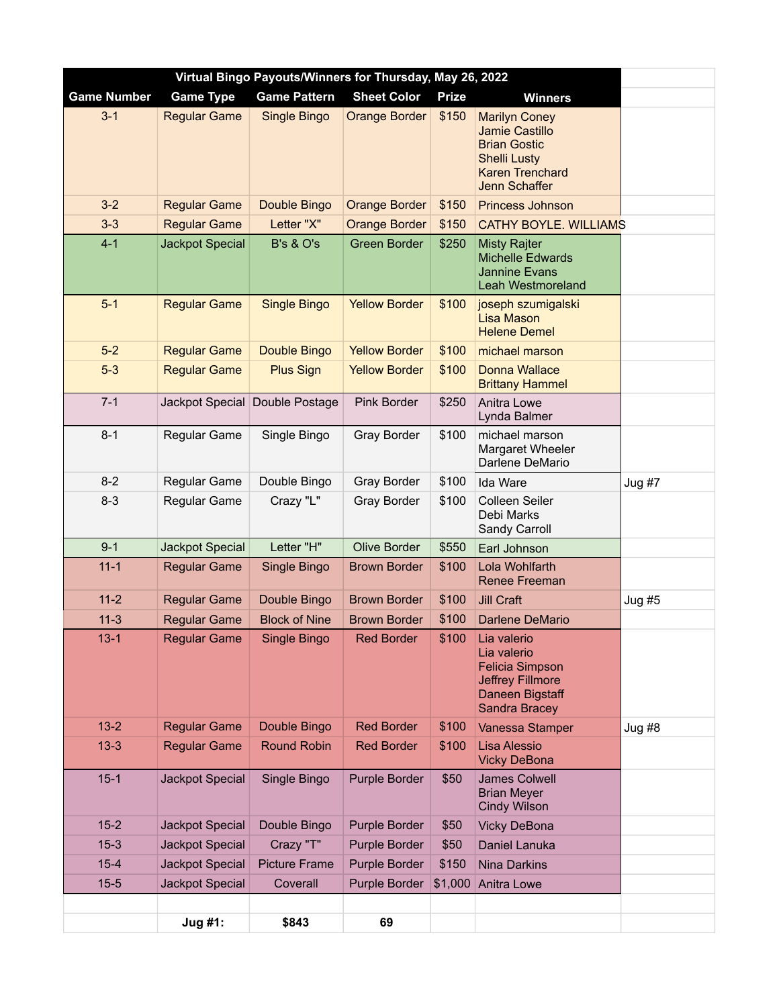| Virtual Bingo Payouts/Winners for Thursday, May 26, 2022 |                        |                                |                      |              |                                                                                                                                 |          |  |
|----------------------------------------------------------|------------------------|--------------------------------|----------------------|--------------|---------------------------------------------------------------------------------------------------------------------------------|----------|--|
| <b>Game Number</b>                                       | <b>Game Type</b>       | <b>Game Pattern</b>            | <b>Sheet Color</b>   | <b>Prize</b> | <b>Winners</b>                                                                                                                  |          |  |
| $3 - 1$                                                  | <b>Regular Game</b>    | Single Bingo                   | <b>Orange Border</b> | \$150        | <b>Marilyn Coney</b><br>Jamie Castillo<br><b>Brian Gostic</b><br><b>Shelli Lusty</b><br><b>Karen Trenchard</b><br>Jenn Schaffer |          |  |
| $3 - 2$                                                  | <b>Regular Game</b>    | Double Bingo                   | <b>Orange Border</b> | \$150        | <b>Princess Johnson</b>                                                                                                         |          |  |
| $3-3$                                                    | <b>Regular Game</b>    | Letter "X"                     | <b>Orange Border</b> | \$150        | <b>CATHY BOYLE. WILLIAMS</b>                                                                                                    |          |  |
| $4 - 1$                                                  | <b>Jackpot Special</b> | <b>B's &amp; O's</b>           | <b>Green Border</b>  | \$250        | <b>Misty Rajter</b><br><b>Michelle Edwards</b><br><b>Jannine Evans</b><br><b>Leah Westmoreland</b>                              |          |  |
| $5-1$                                                    | <b>Regular Game</b>    | <b>Single Bingo</b>            | <b>Yellow Border</b> | \$100        | joseph szumigalski<br><b>Lisa Mason</b><br><b>Helene Demel</b>                                                                  |          |  |
| $5-2$                                                    | <b>Regular Game</b>    | Double Bingo                   | <b>Yellow Border</b> | \$100        | michael marson                                                                                                                  |          |  |
| $5-3$                                                    | <b>Regular Game</b>    | <b>Plus Sign</b>               | <b>Yellow Border</b> | \$100        | <b>Donna Wallace</b><br><b>Brittany Hammel</b>                                                                                  |          |  |
| $7 - 1$                                                  |                        | Jackpot Special Double Postage | Pink Border          | \$250        | Anitra Lowe<br>Lynda Balmer                                                                                                     |          |  |
| $8 - 1$                                                  | Regular Game           | Single Bingo                   | Gray Border          | \$100        | michael marson<br>Margaret Wheeler<br>Darlene DeMario                                                                           |          |  |
| $8 - 2$                                                  | Regular Game           | Double Bingo                   | <b>Gray Border</b>   | \$100        | Ida Ware                                                                                                                        | $Jug$ #7 |  |
| $8 - 3$                                                  | Regular Game           | Crazy "L"                      | <b>Gray Border</b>   | \$100        | Colleen Seiler<br>Debi Marks<br>Sandy Carroll                                                                                   |          |  |
| $9 - 1$                                                  | Jackpot Special        | Letter "H"                     | <b>Olive Border</b>  | \$550        | Earl Johnson                                                                                                                    |          |  |
| $11 - 1$                                                 | <b>Regular Game</b>    | Single Bingo                   | <b>Brown Border</b>  | \$100        | Lola Wohlfarth<br>Renee Freeman                                                                                                 |          |  |
| $11 - 2$                                                 | <b>Regular Game</b>    | Double Bingo                   | <b>Brown Border</b>  | \$100        | <b>Jill Craft</b>                                                                                                               | $Jug$ #5 |  |
| $11-3$                                                   | <b>Regular Game</b>    | <b>Block of Nine</b>           | <b>Brown Border</b>  | \$100        | Darlene DeMario                                                                                                                 |          |  |
| $13 - 1$                                                 | <b>Regular Game</b>    | Single Bingo                   | <b>Red Border</b>    | \$100        | Lia valerio<br>Lia valerio<br><b>Felicia Simpson</b><br>Jeffrey Fillmore<br>Daneen Bigstaff<br><b>Sandra Bracey</b>             |          |  |
| $13 - 2$                                                 | <b>Regular Game</b>    | Double Bingo                   | <b>Red Border</b>    | \$100        | Vanessa Stamper                                                                                                                 | $Jug$ #8 |  |
| $13 - 3$                                                 | <b>Regular Game</b>    | <b>Round Robin</b>             | <b>Red Border</b>    | \$100        | Lisa Alessio<br><b>Vicky DeBona</b>                                                                                             |          |  |
| $15 - 1$                                                 | Jackpot Special        | Single Bingo                   | Purple Border        | \$50         | <b>James Colwell</b><br><b>Brian Meyer</b><br><b>Cindy Wilson</b>                                                               |          |  |
| $15 - 2$                                                 | Jackpot Special        | Double Bingo                   | Purple Border        | \$50         | <b>Vicky DeBona</b>                                                                                                             |          |  |
| $15 - 3$                                                 | Jackpot Special        | Crazy "T"                      | Purple Border        | \$50         | Daniel Lanuka                                                                                                                   |          |  |
| $15 - 4$                                                 | Jackpot Special        | <b>Picture Frame</b>           | Purple Border        | \$150        | Nina Darkins                                                                                                                    |          |  |
| $15 - 5$                                                 | Jackpot Special        | Coverall                       | Purple Border        | \$1,000      | Anitra Lowe                                                                                                                     |          |  |
|                                                          | Jug #1:                | \$843                          | 69                   |              |                                                                                                                                 |          |  |